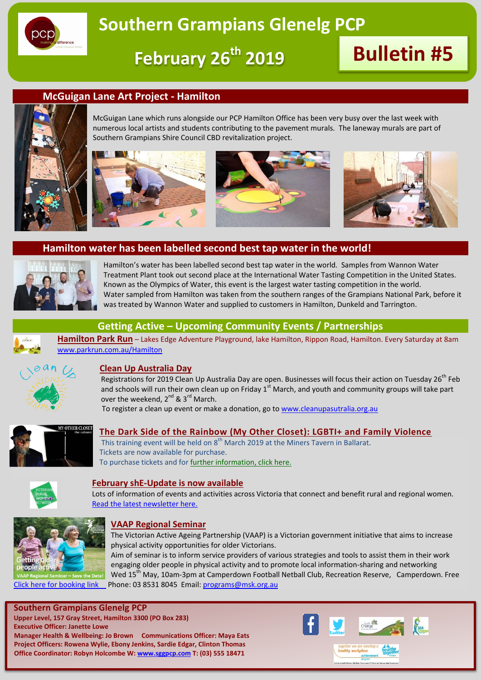

**February 26th 2019 Bulletin #5**

#### **McGuigan Lane Art Project - Hamilton**



McGuigan Lane which runs alongside our PCP Hamilton Office has been very busy over the last week with numerous local artists and students contributing to the pavement murals. The laneway murals are part of Southern Grampians Shire Council CBD revitalization project.







### **Hamilton water has been labelled second best tap water in the world!**



Hamilton's water has been labelled second best tap water in the world. Samples from Wannon Water Treatment Plant took out second place at the International Water Tasting Competition in the United States. Known as the Olympics of Water, this event is the largest water tasting competition in the world. Water sampled from Hamilton was taken from the southern ranges of the Grampians National Park, before it was treated by Wannon Water and supplied to customers in Hamilton, Dunkeld and Tarrington.



#### **Getting Active – Upcoming Community Events / Partnerships**

**Hamilton Park Run** – Lakes Edge Adventure Playground, lake Hamilton, Rippon Road, Hamilton. Every Saturday at 8am [www.parkrun.com.au/Hamilton](http://www.parkrun.com.au/Hamilton)



#### **Clean Up Australia Day**

Registrations for 2019 Clean Up Australia Day are open. Businesses will focus their action on Tuesday 26<sup>th</sup> Feb and schools will run their own clean up on Friday  $1<sup>st</sup>$  March, and youth and community groups will take part over the weekend,  $2^{nd}$  &  $3^{rd}$  March.

To register a clean up event or make a donation, go t[o www.cleanupasutralia.org.au](http://www.cleanupasutralia.org.au/)



#### **The Dark Side of the Rainbow (My Other Closet): LGBTI+ and Family Violence**

This training event will be held on  $8<sup>th</sup>$  March 2019 at the Miners Tavern in Ballarat. Tickets are now available for purchase. To purchase tickets and fo[r further information, click here.](https://www.eventbrite.com.au/e/the-dark-side-of-the-rainbow-lgbti-and-family-violence-tickets-49589389198)



#### **February shE-Update is now available**

Lots of information of events and activities across Victoria that connect and benefit rural and regional women. [Read the latest newsletter here.](https://agriculturevictoria.cmail19.com/t/ViewEmail/r/3A75CABDB0308A012540EF23F30FEDED/7681D5D9DD2316C0667CCDA886AB700A)



#### **VAAP Regional Seminar**

The Victorian Active Ageing Partnership (VAAP) is a Victorian government initiative that aims to increase physical activity opportunities for older Victorians.

Aim of seminar is to inform service providers of various strategies and tools to assist them in their work engaging older people in physical activity and to promote local information-sharing and networking Wed 15<sup>th</sup> May, 10am-3pm at Camperdown Football Netball Club, Recreation Reserve, Camperdown. Free [Click here for booking link P](https://www.trybooking.com/book/event?eid=462829&)hone: 03 8531 8045 Email[: programs@msk.org.au](mailto:programs@msk.org.au)

**Southern Grampians Glenelg PCP**

**Upper Level, 157 Gray Street, Hamilton 3300 (PO Box 283) Executive Officer: Janette Lowe Manager Health & Wellbeing: Jo Brown Communications Officer: Maya Eats Project Officers: Rowena Wylie, Ebony Jenkins, Sardie Edgar, Clinton Thomas Office Coordinator: Robyn Holcombe W: [www.sggpcp.com](http://www.sggpcp.com/) T: (03) 555 18471**